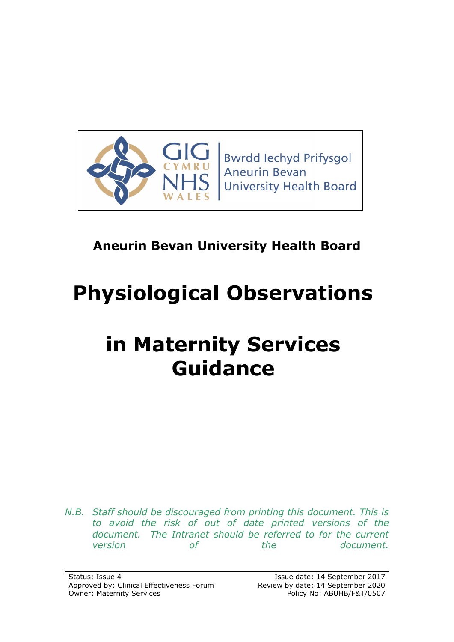

**Bwrdd lechyd Prifysgol Aneurin Bevan University Health Board** 

# **Aneurin Bevan University Health Board**

# **Physiological Observations**

# **in Maternity Services Guidance**

*N.B. Staff should be discouraged from printing this document. This is to avoid the risk of out of date printed versions of the document. The Intranet should be referred to for the current version of the document.*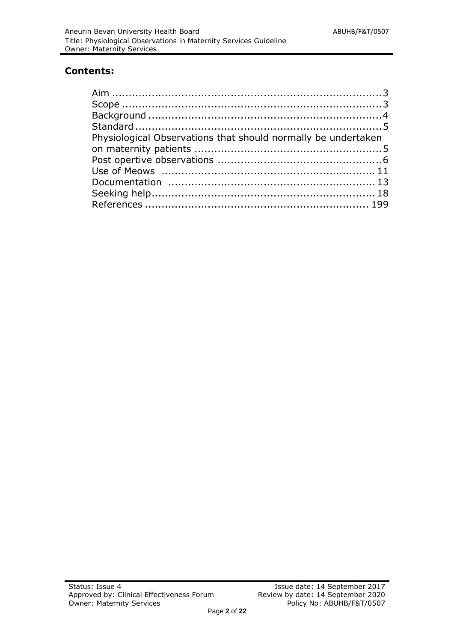#### **Contents:**

| Physiological Observations that should normally be undertaken |  |
|---------------------------------------------------------------|--|
|                                                               |  |
|                                                               |  |
|                                                               |  |
|                                                               |  |
|                                                               |  |
|                                                               |  |
|                                                               |  |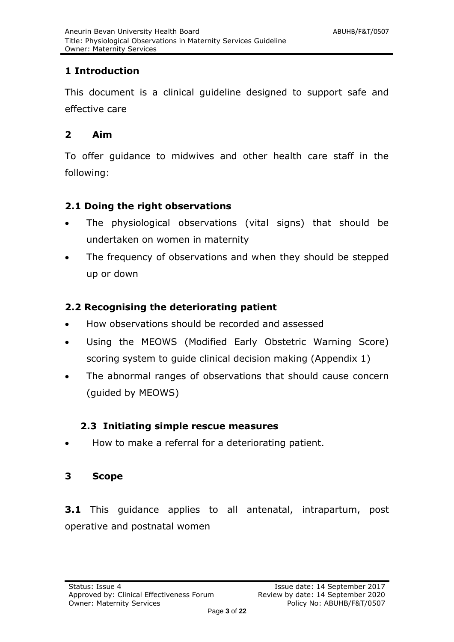# **1 Introduction**

This document is a clinical guideline designed to support safe and effective care

# <span id="page-2-0"></span>**2 Aim**

To offer guidance to midwives and other health care staff in the following:

# **2.1 Doing the right observations**

- The physiological observations (vital signs) that should be undertaken on women in maternity
- The frequency of observations and when they should be stepped up or down

# **2.2 Recognising the deteriorating patient**

- How observations should be recorded and assessed
- Using the MEOWS (Modified Early Obstetric Warning Score) scoring system to guide clinical decision making (Appendix 1)
- The abnormal ranges of observations that should cause concern (guided by MEOWS)

# **2.3 Initiating simple rescue measures**

How to make a referral for a deteriorating patient.

# <span id="page-2-1"></span>**3 Scope**

**3.1** This guidance applies to all antenatal, intrapartum, post operative and postnatal women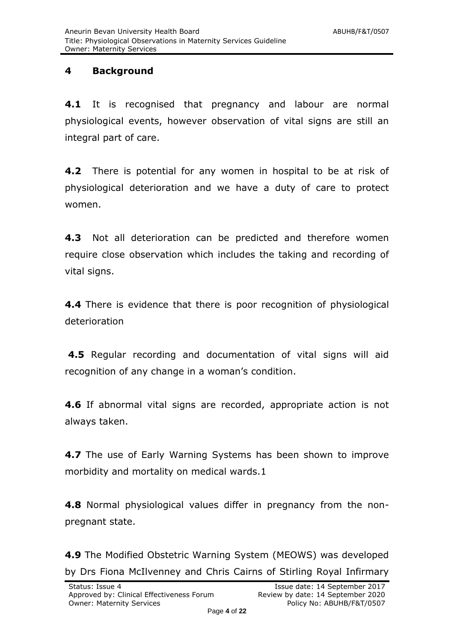### <span id="page-3-0"></span>**4 Background**

**4.1** It is recognised that pregnancy and labour are normal physiological events, however observation of vital signs are still an integral part of care.

**4.2** There is potential for any women in hospital to be at risk of physiological deterioration and we have a duty of care to protect women.

**4.3** Not all deterioration can be predicted and therefore women require close observation which includes the taking and recording of vital signs.

**4.4** There is evidence that there is poor recognition of physiological deterioration

**4.5** Regular recording and documentation of vital signs will aid recognition of any change in a woman's condition.

**4.6** If abnormal vital signs are recorded, appropriate action is not always taken.

**4.7** The use of Early Warning Systems has been shown to improve morbidity and mortality on medical wards.1

**4.8** Normal physiological values differ in pregnancy from the nonpregnant state.

**4.9** The Modified Obstetric Warning System (MEOWS) was developed by Drs Fiona McIlvenney and Chris Cairns of Stirling Royal Infirmary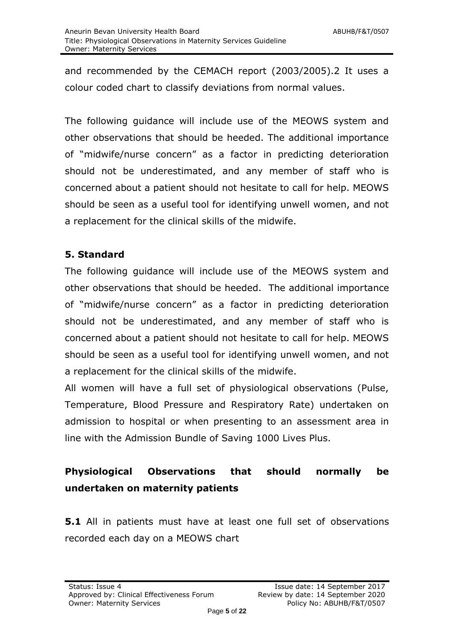and recommended by the CEMACH report (2003/2005).2 It uses a colour coded chart to classify deviations from normal values.

The following guidance will include use of the MEOWS system and other observations that should be heeded. The additional importance of "midwife/nurse concern" as a factor in predicting deterioration should not be underestimated, and any member of staff who is concerned about a patient should not hesitate to call for help. MEOWS should be seen as a useful tool for identifying unwell women, and not a replacement for the clinical skills of the midwife.

# **5. Standard**

The following guidance will include use of the MEOWS system and other observations that should be heeded. The additional importance of "midwife/nurse concern" as a factor in predicting deterioration should not be underestimated, and any member of staff who is concerned about a patient should not hesitate to call for help. MEOWS should be seen as a useful tool for identifying unwell women, and not a replacement for the clinical skills of the midwife.

All women will have a full set of physiological observations (Pulse, Temperature, Blood Pressure and Respiratory Rate) undertaken on admission to hospital or when presenting to an assessment area in line with the Admission Bundle of Saving 1000 Lives Plus.

# **Physiological Observations that should normally be undertaken on maternity patients**

**5.1** All in patients must have at least one full set of observations recorded each day on a MEOWS chart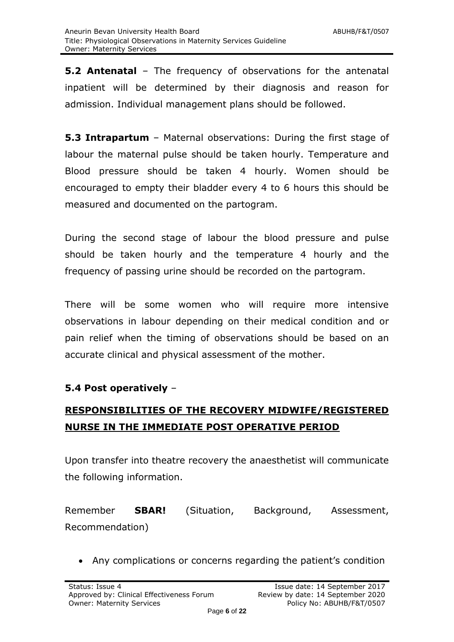**5.2 Antenatal** – The frequency of observations for the antenatal inpatient will be determined by their diagnosis and reason for admission. Individual management plans should be followed.

**5.3 Intrapartum** – Maternal observations: During the first stage of labour the maternal pulse should be taken hourly. Temperature and Blood pressure should be taken 4 hourly. Women should be encouraged to empty their bladder every 4 to 6 hours this should be measured and documented on the partogram.

During the second stage of labour the blood pressure and pulse should be taken hourly and the temperature 4 hourly and the frequency of passing urine should be recorded on the partogram.

There will be some women who will require more intensive observations in labour depending on their medical condition and or pain relief when the timing of observations should be based on an accurate clinical and physical assessment of the mother.

# **5.4 Post operatively** –

# **RESPONSIBILITIES OF THE RECOVERY MIDWIFE/REGISTERED NURSE IN THE IMMEDIATE POST OPERATIVE PERIOD**

Upon transfer into theatre recovery the anaesthetist will communicate the following information.

Remember **SBAR!** (Situation, Background, Assessment, Recommendation)

Any complications or concerns regarding the patient's condition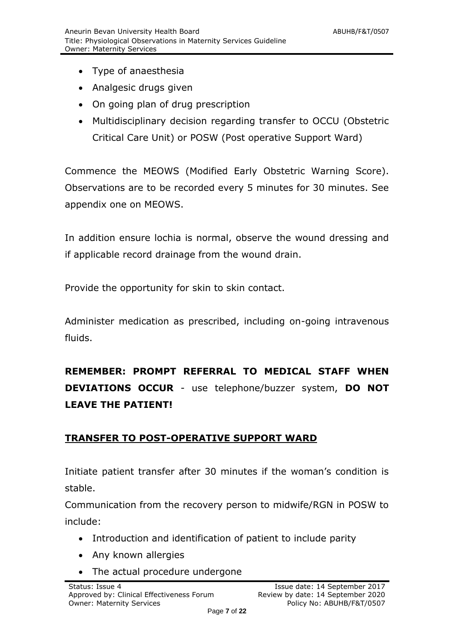- Type of anaesthesia
- Analgesic drugs given
- On going plan of drug prescription
- Multidisciplinary decision regarding transfer to OCCU (Obstetric Critical Care Unit) or POSW (Post operative Support Ward)

Commence the MEOWS (Modified Early Obstetric Warning Score). Observations are to be recorded every 5 minutes for 30 minutes. See appendix one on MEOWS.

In addition ensure lochia is normal, observe the wound dressing and if applicable record drainage from the wound drain.

Provide the opportunity for skin to skin contact.

Administer medication as prescribed, including on-going intravenous fluids.

**REMEMBER: PROMPT REFERRAL TO MEDICAL STAFF WHEN DEVIATIONS OCCUR** - use telephone/buzzer system, **DO NOT LEAVE THE PATIENT!**

#### **TRANSFER TO POST-OPERATIVE SUPPORT WARD**

Initiate patient transfer after 30 minutes if the woman's condition is stable.

Communication from the recovery person to midwife/RGN in POSW to include:

- Introduction and identification of patient to include parity
- Any known allergies
- The actual procedure undergone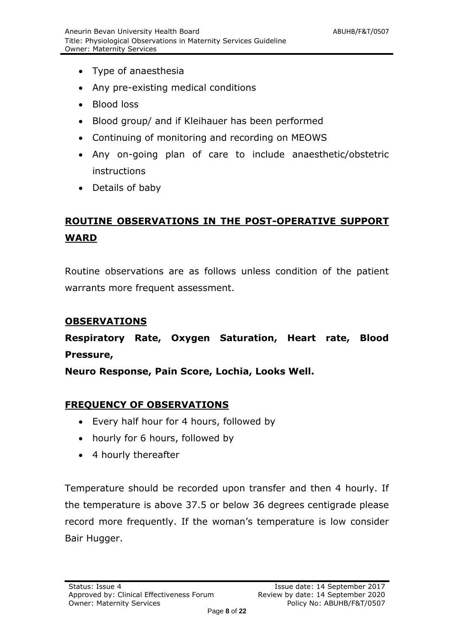- Type of anaesthesia
- Any pre-existing medical conditions
- Blood loss
- Blood group/ and if Kleihauer has been performed
- Continuing of monitoring and recording on MEOWS
- Any on-going plan of care to include anaesthetic/obstetric instructions
- Details of baby

# **ROUTINE OBSERVATIONS IN THE POST-OPERATIVE SUPPORT WARD**

Routine observations are as follows unless condition of the patient warrants more frequent assessment.

#### **OBSERVATIONS**

**Respiratory Rate, Oxygen Saturation, Heart rate, Blood Pressure,** 

**Neuro Response, Pain Score, Lochia, Looks Well.** 

#### **FREQUENCY OF OBSERVATIONS**

- Every half hour for 4 hours, followed by
- hourly for 6 hours, followed by
- 4 hourly thereafter

Temperature should be recorded upon transfer and then 4 hourly. If the temperature is above 37.5 or below 36 degrees centigrade please record more frequently. If the woman's temperature is low consider Bair Hugger.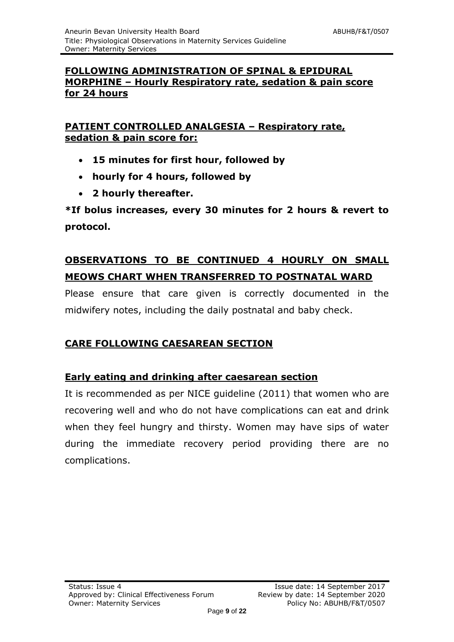# **FOLLOWING ADMINISTRATION OF SPINAL & EPIDURAL MORPHINE – Hourly Respiratory rate, sedation & pain score for 24 hours**

# **PATIENT CONTROLLED ANALGESIA – Respiratory rate, sedation & pain score for:**

- **15 minutes for first hour, followed by**
- **hourly for 4 hours, followed by**
- **2 hourly thereafter.**

**\*If bolus increases, every 30 minutes for 2 hours & revert to protocol.**

# **OBSERVATIONS TO BE CONTINUED 4 HOURLY ON SMALL MEOWS CHART WHEN TRANSFERRED TO POSTNATAL WARD**

Please ensure that care given is correctly documented in the midwifery notes, including the daily postnatal and baby check.

# **CARE FOLLOWING CAESAREAN SECTION**

# **Early eating and drinking after caesarean section**

It is recommended as per NICE guideline (2011) that women who are recovering well and who do not have complications can eat and drink when they feel hungry and thirsty. Women may have sips of water during the immediate recovery period providing there are no complications.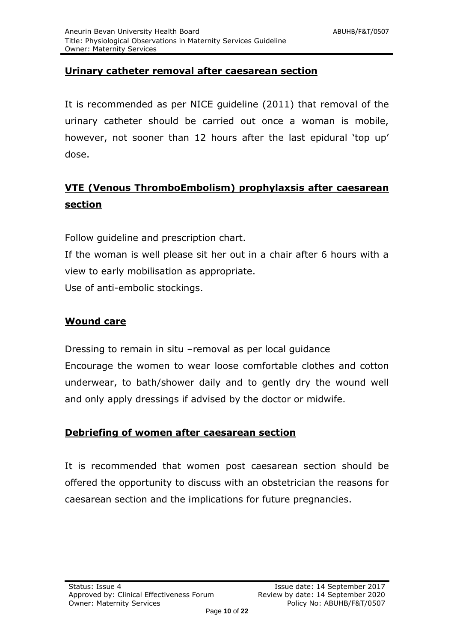# **Urinary catheter removal after caesarean section**

It is recommended as per NICE guideline (2011) that removal of the urinary catheter should be carried out once a woman is mobile, however, not sooner than 12 hours after the last epidural 'top up' dose.

# **VTE (Venous ThromboEmbolism) prophylaxsis after caesarean section**

Follow guideline and prescription chart.

If the woman is well please sit her out in a chair after 6 hours with a view to early mobilisation as appropriate.

Use of anti-embolic stockings.

#### **Wound care**

Dressing to remain in situ –removal as per local guidance Encourage the women to wear loose comfortable clothes and cotton underwear, to bath/shower daily and to gently dry the wound well and only apply dressings if advised by the doctor or midwife.

#### **Debriefing of women after caesarean section**

It is recommended that women post caesarean section should be offered the opportunity to discuss with an obstetrician the reasons for caesarean section and the implications for future pregnancies.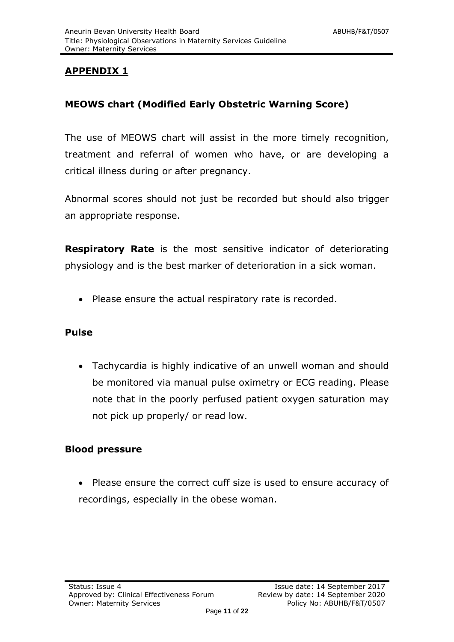# **APPENDIX 1**

# **MEOWS chart (Modified Early Obstetric Warning Score)**

The use of MEOWS chart will assist in the more timely recognition, treatment and referral of women who have, or are developing a critical illness during or after pregnancy.

Abnormal scores should not just be recorded but should also trigger an appropriate response.

**Respiratory Rate** is the most sensitive indicator of deteriorating physiology and is the best marker of deterioration in a sick woman.

• Please ensure the actual respiratory rate is recorded.

#### **Pulse**

 Tachycardia is highly indicative of an unwell woman and should be monitored via manual pulse oximetry or ECG reading. Please note that in the poorly perfused patient oxygen saturation may not pick up properly/ or read low.

#### **Blood pressure**

• Please ensure the correct cuff size is used to ensure accuracy of recordings, especially in the obese woman.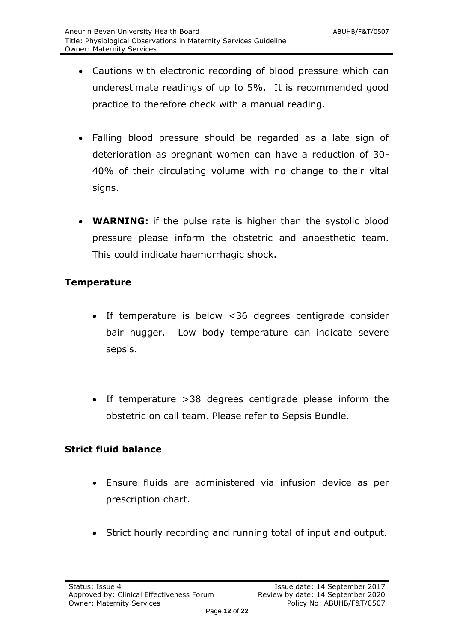- Cautions with electronic recording of blood pressure which can underestimate readings of up to 5%. It is recommended good practice to therefore check with a manual reading.
- Falling blood pressure should be regarded as a late sign of deterioration as pregnant women can have a reduction of 30- 40% of their circulating volume with no change to their vital signs.
- **WARNING:** if the pulse rate is higher than the systolic blood pressure please inform the obstetric and anaesthetic team. This could indicate haemorrhagic shock.

#### **Temperature**

- If temperature is below <36 degrees centigrade consider bair hugger. Low body temperature can indicate severe sepsis.
- If temperature >38 degrees centigrade please inform the obstetric on call team. Please refer to Sepsis Bundle.

#### **Strict fluid balance**

- Ensure fluids are administered via infusion device as per prescription chart.
- Strict hourly recording and running total of input and output.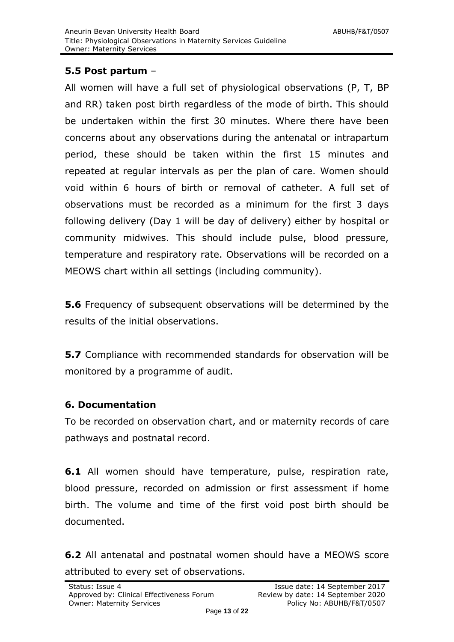### **5.5 Post partum** –

All women will have a full set of physiological observations (P, T, BP and RR) taken post birth regardless of the mode of birth. This should be undertaken within the first 30 minutes. Where there have been concerns about any observations during the antenatal or intrapartum period, these should be taken within the first 15 minutes and repeated at regular intervals as per the plan of care. Women should void within 6 hours of birth or removal of catheter. A full set of observations must be recorded as a minimum for the first 3 days following delivery (Day 1 will be day of delivery) either by hospital or community midwives. This should include pulse, blood pressure, temperature and respiratory rate. Observations will be recorded on a MEOWS chart within all settings (including community).

**5.6** Frequency of subsequent observations will be determined by the results of the initial observations.

**5.7** Compliance with recommended standards for observation will be monitored by a programme of audit.

#### **6. Documentation**

To be recorded on observation chart, and or maternity records of care pathways and postnatal record.

**6.1** All women should have temperature, pulse, respiration rate, blood pressure, recorded on admission or first assessment if home birth. The volume and time of the first void post birth should be documented.

**6.2** All antenatal and postnatal women should have a MEOWS score attributed to every set of observations.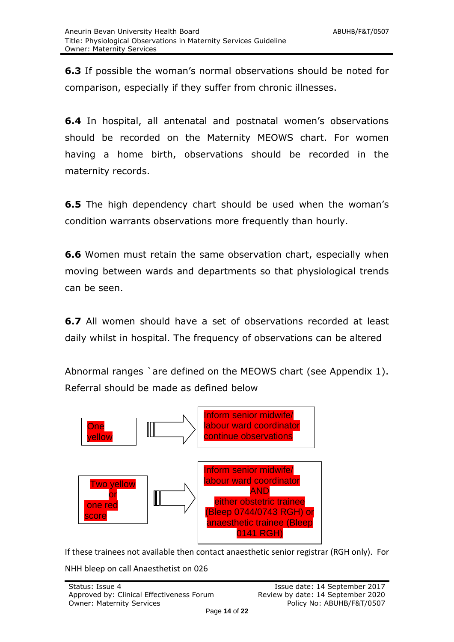**6.3** If possible the woman's normal observations should be noted for comparison, especially if they suffer from chronic illnesses.

**6.4** In hospital, all antenatal and postnatal women's observations should be recorded on the Maternity MEOWS chart. For women having a home birth, observations should be recorded in the maternity records.

**6.5** The high dependency chart should be used when the woman's condition warrants observations more frequently than hourly.

**6.6** Women must retain the same observation chart, especially when moving between wards and departments so that physiological trends can be seen.

**6.7** All women should have a set of observations recorded at least daily whilst in hospital. The frequency of observations can be altered

Abnormal ranges `are defined on the MEOWS chart (see Appendix 1). Referral should be made as defined below



If these trainees not available then contact anaesthetic senior registrar (RGH only). For

NHH bleep on call Anaesthetist on 026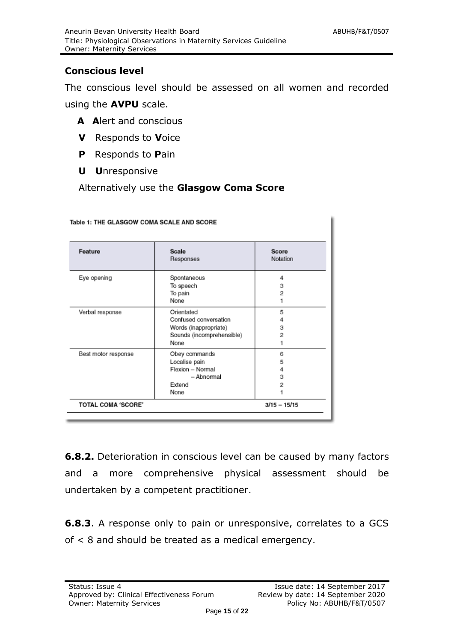## **Conscious level**

The conscious level should be assessed on all women and recorded using the **AVPU** scale.

- **A A**lert and conscious
- **V** Responds to **V**oice
- **P** Responds to **P**ain
- **U U**nresponsive

Alternatively use the **Glasgow Coma Score**

| Feature                   | Scale<br>Responses        | Score<br>Notation |
|---------------------------|---------------------------|-------------------|
| Eye opening               | Spontaneous               | 4                 |
|                           | To speech                 | з                 |
|                           | To pain                   | 2                 |
|                           | None                      |                   |
| Verbal response           | Orientated                | 5                 |
|                           | Confused conversation     | 4                 |
|                           | Words (inappropriate)     | з                 |
|                           | Sounds (incomprehensible) | 2                 |
|                           | None                      |                   |
| Best motor response       | Obey commands             | 6                 |
|                           | Localise pain             | 5                 |
|                           | Flexion - Normal          |                   |
|                           | - Abnormal                | з                 |
|                           | Extend                    | 2                 |
|                           | None                      |                   |
| <b>TOTAL COMA 'SCORE'</b> |                           | $3/15 - 15/15$    |

# Table 1: THE GLASGOW COMA SCALE AND SCORE

**6.8.2.** Deterioration in conscious level can be caused by many factors and a more comprehensive physical assessment should be undertaken by a competent practitioner.

**6.8.3**. A response only to pain or unresponsive, correlates to a GCS of < 8 and should be treated as a medical emergency.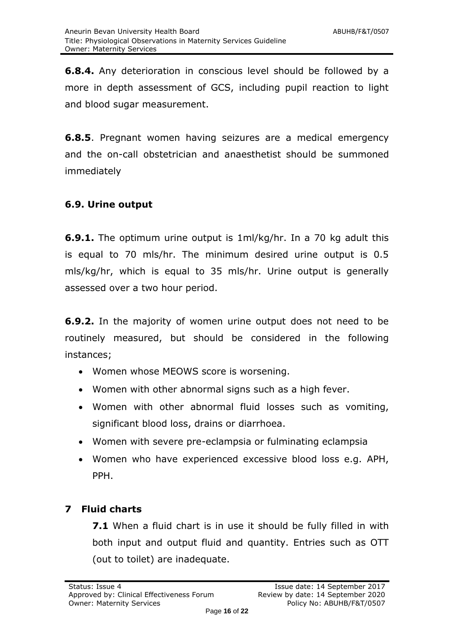**6.8.4.** Any deterioration in conscious level should be followed by a more in depth assessment of GCS, including pupil reaction to light and blood sugar measurement.

**6.8.5**. Pregnant women having seizures are a medical emergency and the on-call obstetrician and anaesthetist should be summoned immediately

# **6.9. Urine output**

**6.9.1.** The optimum urine output is 1ml/kg/hr. In a 70 kg adult this is equal to 70 mls/hr. The minimum desired urine output is 0.5 mls/kg/hr, which is equal to 35 mls/hr. Urine output is generally assessed over a two hour period.

**6.9.2.** In the majority of women urine output does not need to be routinely measured, but should be considered in the following instances;

- Women whose MEOWS score is worsening.
- Women with other abnormal signs such as a high fever.
- Women with other abnormal fluid losses such as vomiting, significant blood loss, drains or diarrhoea.
- Women with severe pre-eclampsia or fulminating eclampsia
- Women who have experienced excessive blood loss e.g. APH, PPH.

# <span id="page-15-0"></span>**7 Fluid charts**

**7.1** When a fluid chart is in use it should be fully filled in with both input and output fluid and quantity. Entries such as OTT (out to toilet) are inadequate.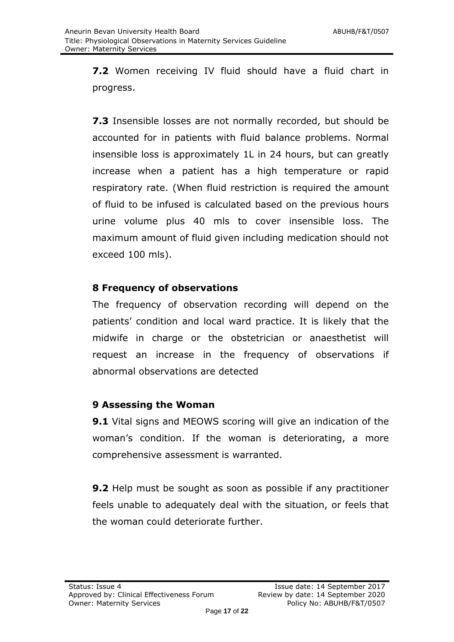**7.2** Women receiving IV fluid should have a fluid chart in progress.

**7.3** Insensible losses are not normally recorded, but should be accounted for in patients with fluid balance problems. Normal insensible loss is approximately 1L in 24 hours, but can greatly increase when a patient has a high temperature or rapid respiratory rate. (When fluid restriction is required the amount of fluid to be infused is calculated based on the previous hours urine volume plus 40 mls to cover insensible loss. The maximum amount of fluid given including medication should not exceed 100 mls).

# **8 Frequency of observations**

The frequency of observation recording will depend on the patients' condition and local ward practice. It is likely that the midwife in charge or the obstetrician or anaesthetist will request an increase in the frequency of observations if abnormal observations are detected

# **9 Assessing the Woman**

**9.1** Vital signs and MEOWS scoring will give an indication of the woman's condition. If the woman is deteriorating, a more comprehensive assessment is warranted.

**9.2** Help must be sought as soon as possible if any practitioner feels unable to adequately deal with the situation, or feels that the woman could deteriorate further.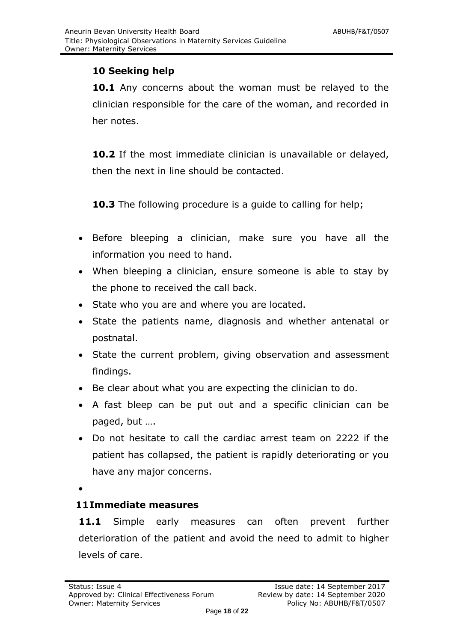# **10 Seeking help**

**10.1** Any concerns about the woman must be relayed to the clinician responsible for the care of the woman, and recorded in her notes.

**10.2** If the most immediate clinician is unavailable or delayed, then the next in line should be contacted.

**10.3** The following procedure is a quide to calling for help;

- Before bleeping a clinician, make sure you have all the information you need to hand.
- When bleeping a clinician, ensure someone is able to stay by the phone to received the call back.
- State who you are and where you are located.
- State the patients name, diagnosis and whether antenatal or postnatal.
- State the current problem, giving observation and assessment findings.
- Be clear about what you are expecting the clinician to do.
- A fast bleep can be put out and a specific clinician can be paged, but ….
- Do not hesitate to call the cardiac arrest team on 2222 if the patient has collapsed, the patient is rapidly deteriorating or you have any major concerns.

 $\bullet$ 

# **11Immediate measures**

**11.1** Simple early measures can often prevent further deterioration of the patient and avoid the need to admit to higher levels of care.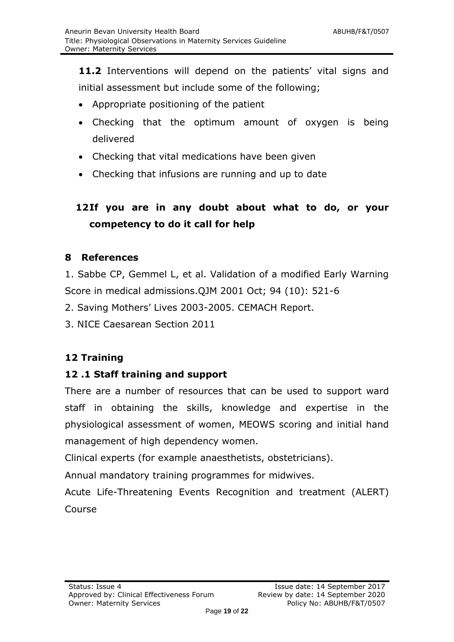**11.2** Interventions will depend on the patients' vital signs and initial assessment but include some of the following;

- Appropriate positioning of the patient
- Checking that the optimum amount of oxygen is being delivered
- Checking that vital medications have been given
- Checking that infusions are running and up to date

# **12If you are in any doubt about what to do, or your competency to do it call for help**

#### <span id="page-18-0"></span>**8 References**

1. Sabbe CP, Gemmel L, et al. Validation of a modified Early Warning Score in medical admissions.QJM 2001 Oct; 94 (10): 521-6

2. Saving Mothers' Lives 2003-2005. CEMACH Report.

3. NICE Caesarean Section 2011

#### **12 Training**

#### **12 .1 Staff training and support**

There are a number of resources that can be used to support ward staff in obtaining the skills, knowledge and expertise in the physiological assessment of women, MEOWS scoring and initial hand management of high dependency women.

Clinical experts (for example anaesthetists, obstetricians).

Annual mandatory training programmes for midwives.

Acute Life-Threatening Events Recognition and treatment (ALERT) Course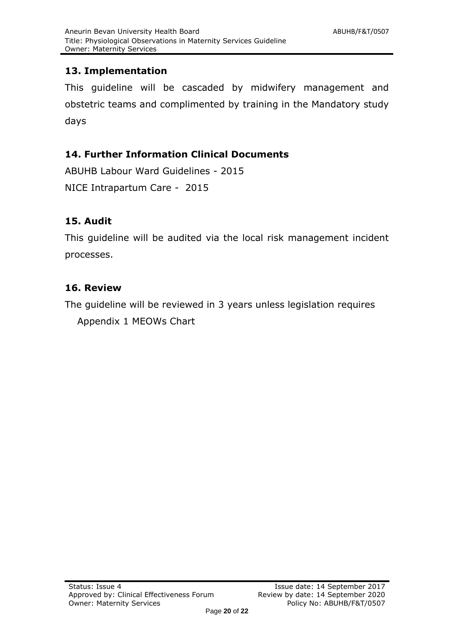# **13. Implementation**

This guideline will be cascaded by midwifery management and obstetric teams and complimented by training in the Mandatory study days

# **14. Further Information Clinical Documents**

ABUHB Labour Ward Guidelines - 2015 NICE Intrapartum Care - 2015

# **15. Audit**

This guideline will be audited via the local risk management incident processes.

# **16. Review**

The guideline will be reviewed in 3 years unless legislation requires Appendix 1 MEOWs Chart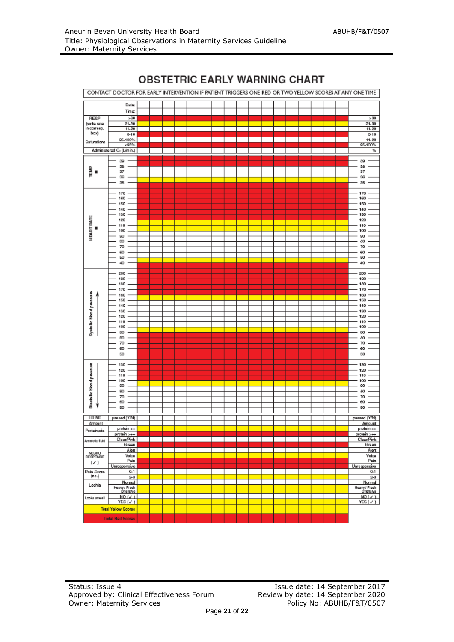

#### **OBSTETRIC EARLY WARNING CHART**